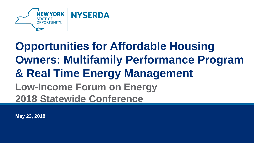

### **Opportunities for Affordable Housing Owners: Multifamily Performance Program & Real Time Energy Management Low-Income Forum on Energy 2018 Statewide Conference**

**May 23, 2018**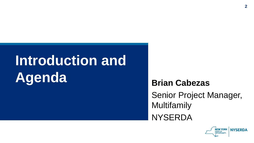# **Introduction and Agenda Brian Cabezas**

Senior Project Manager, Multifamily **NYSERDA** 

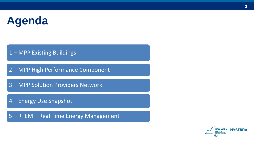## **Agenda**

- MPP Existing Buildings
- MPP High Performance Component
- MPP Solution Providers Network
- Energy Use Snapshot

– RTEM – Real Time Energy Management

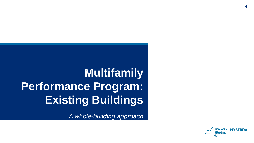## **Multifamily Performance Program: Existing Buildings**

*A whole-building approach*

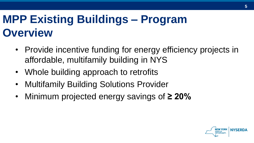## **MPP Existing Buildings – Program Overview**

- Provide incentive funding for energy efficiency projects in affordable, multifamily building in NYS
- Whole building approach to retrofits
- Multifamily Building Solutions Provider
- Minimum projected energy savings of **≥ 20%**

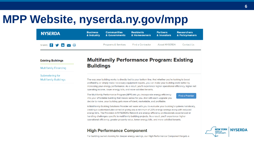#### **MPP Website, nyserda.ny.gov/mpp**

| <b>NYSERDA</b>                                         | <b>Business</b><br>& Industry | <b>Communities</b><br>& Governments | <b>Residents</b><br>& Homeowners | <b>Partners</b><br>& Investors | <b>Researchers</b><br>& Policymakers |  |
|--------------------------------------------------------|-------------------------------|-------------------------------------|----------------------------------|--------------------------------|--------------------------------------|--|
| SHARE: $f$ $\rightarrow$ $\mathsf{in}$ $\sim$ $\oplus$ |                               | <b>Programs &amp; Services</b>      | <b>Find a Contractor</b>         | <b>About NYSERDA</b>           | Contact Us                           |  |

#### **Existing Buildings**

**Multifamily Financing** 

Submetering for **Multifamily Buildings** 

#### **Multifamily Performance Program: Existing Buildings**

The way your building works is directly tied to your bottom line. And whether you're looking to boost profitability or simply make necessary equipment repairs, you can make your building work better by increasing your energy performance. As a result, you'll experience higher operational efficiency, higher net operating income, lower energy bills, and more satisfied tenants.

The Multifamily Performance Program (MPP) lets you incorporate energy efficiency into your affordable building that makes sense for you. And with each upgrade you decide to make, your building gets more efficient, marketable, and profitable.

**Find a Provider** 

A Multifamily Building Solutions Provider will work with you to evaluate your building's systems holistically, creating a customized plan aimed at giving you a minimum of 20% energy savings along with reduced energy bills. The Providers in NYSERDA's Network are energy efficiency professionals experienced at handling challenges specific to multifamily building projects. As a result, you'll experience higher operational efficiency, greater property value, lower energy bills, and more satisfied tenants.

#### **High Performance Component**



**6**

For building owners looking for deeper energy savings, our High Performance Component targets a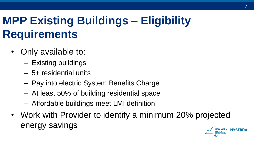## **MPP Existing Buildings – Eligibility Requirements**

- Only available to:
	- Existing buildings
	- 5+ residential units
	- Pay into electric System Benefits Charge
	- At least 50% of building residential space
	- Affordable buildings meet LMI definition
- Work with Provider to identify a minimum 20% projected energy savingsNEW YORK NYSERDA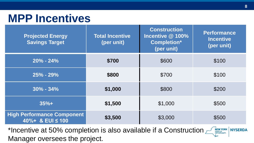#### **MPP Incentives**

| <b>Projected Energy</b><br><b>Savings Target</b>      | <b>Total Incentive</b><br>(per unit) | <b>Construction</b><br>Incentive @ 100%<br><b>Completion*</b><br>(per unit) | <b>Performance</b><br><b>Incentive</b><br>(per unit) |
|-------------------------------------------------------|--------------------------------------|-----------------------------------------------------------------------------|------------------------------------------------------|
| $20\% - 24\%$                                         | \$700                                | \$600                                                                       | \$100                                                |
| $25% - 29%$                                           | \$800                                | \$700                                                                       | \$100                                                |
| $30\% - 34\%$                                         | \$1,000                              | \$800                                                                       | \$200                                                |
| $35%+$                                                | \$1,500                              | \$1,000                                                                     | \$500                                                |
| <b>High Performance Component</b><br>40%+ & EUI ≤ 100 | \$3,500                              | \$3,000                                                                     | \$500                                                |

\*Incentive at 50% completion is also available if a Construction  $\mathbb{Z}_{\mathbb{R}^{NEC}$  NYSERDA Manager oversees the project.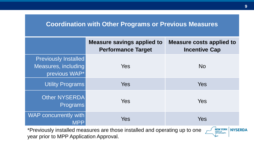#### **Coordination with Other Programs or Previous Measures**

|                                                                     | <b>Measure savings applied to</b><br><b>Performance Target</b>             | <b>Measure costs applied to</b><br><b>Incentive Cap</b> |
|---------------------------------------------------------------------|----------------------------------------------------------------------------|---------------------------------------------------------|
| <b>Previously Installed</b><br>Measures, including<br>previous WAP* | Yes                                                                        | <b>No</b>                                               |
| <b>Utility Programs</b>                                             | <b>Yes</b>                                                                 | <b>Yes</b>                                              |
| <b>Other NYSERDA</b><br><b>Programs</b>                             | Yes                                                                        | <b>Yes</b>                                              |
| WAP concurrently with<br><b>MPP</b>                                 | <b>Yes</b>                                                                 | <b>Yes</b>                                              |
|                                                                     | *Previously installed measures are those installed and operating up to one | <b>NEW YORK</b><br>STATE OF<br><b>NYSERDA</b>           |

year prior to MPP Application Approval.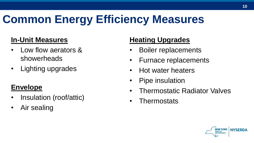## **Common Energy Efficiency Measures**

#### **In-Unit Measures**

- Low flow aerators & showerheads
- Lighting upgrades

#### **Envelope**

- Insulation (roof/attic)
- Air sealing

#### **Heating Upgrades**

- Boiler replacements
- Furnace replacements
- Hot water heaters
- Pipe insulation
- Thermostatic Radiator Valves
- Thermostats

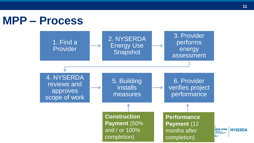#### **MPP – Process** 3. Provider 2. NYSERDA 1. Find a performs Energy Use Provider Snapshot assessment 4. NYSERDA 6. Provider 5. Building reviews and **installs** verifies project  $\rightarrow$ approves performance measures scope of work **Construction Payment** (50% and / or 100% completion)

**Performance Payment** (12 months after completion)

energy

**11**

NEW YORK NYSERDA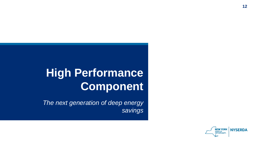### **High Performance Component**

*The next generation of deep energy savings*

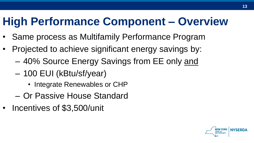#### **High Performance Component – Overview**

- Same process as Multifamily Performance Program
- Projected to achieve significant energy savings by:
	- 40% Source Energy Savings from EE only and
	- 100 EUI (kBtu/sf/year)
		- Integrate Renewables or CHP
	- Or Passive House Standard
- Incentives of \$3,500/unit

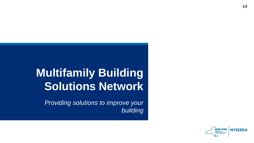### **Multifamily Building Solutions Network**

*Providing solutions to improve your building*

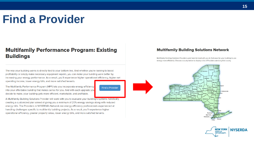#### **Find a Provider**

#### **Multifamily Performance Program: Existing Buildings**

The way your building works is directly tied to your bottom line. And whether you're looking to boost profitability or simply make necessary equipment repairs, you can make your building work better by increasing your energy performance. As a result, you'll experience higher operational efficiency, higher net operating income, lower energy bills, and more satisfied tenants.

**Find a Provider** 

The Multifamily Performance Program (MPP) lets you incorporate energy efficiency into your affordable building that makes sense for you. And with each upgrade you decide to make, your building gets more efficient, marketable, and profitable.

A Multifamily Building Solutions Provider will work with you to evaluate your building's systems holistically, creating a customized plan aimed at giving you a minimum of 20% energy savings along with reduced energy bills. The Providers in NYSERDA's Network are energy efficiency professionals experienced at handling challenges specific to multifamily building projects. As a result, you'll experience higher operational efficiency, greater property value, lower energy bills, and more satisfied tenants.

#### **Multifamily Building Solutions Network**

Multifamily Building Solutions Providers work hand-in-hand with you to find ways for your building to use energy more efficiently. Choose a county below to display a list of Providers servicing that county.



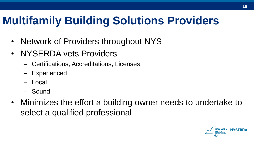## **Multifamily Building Solutions Providers**

- Network of Providers throughout NYS
- NYSERDA vets Providers
	- Certifications, Accreditations, Licenses
	- Experienced
	- Local
	- Sound
- Minimizes the effort a building owner needs to undertake to select a qualified professional

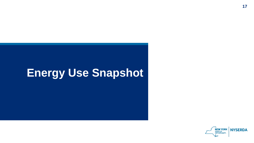#### **Energy Use Snapshot**

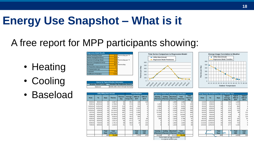#### **Energy Use Snapshot – What is it**

#### A free report for MPP participants showing:

- Heating
- Cooling
- Baseload

| <b>Regression Model Results</b> |                        |          | Time Series Comparison to Regression Model |  |     | <b>Energy Usage Correlation</b> |
|---------------------------------|------------------------|----------|--------------------------------------------|--|-----|---------------------------------|
| Winter (Heating) Slope          | 8.11 Therms/day per °F |          |                                            |  |     |                                 |
| Winter changepoint temp         | $63.8$ $\degree$ F     |          | - Utility Data (Actual)                    |  |     | <b>Utility Data (Actual)</b>    |
| Summer (Cooling) Slope          | 0.00 Therms/day per °F |          | <b>-0</b> Regression Model Predictions     |  |     | Regression Model Trendli        |
| Summer changepoint temp         | $63.8$ <sup>o</sup> F  | 600      |                                            |  | 600 |                                 |
| Baseload                        | 60.1 Therms/day        | 500      |                                            |  | 500 |                                 |
| # of baseline data points (n)   |                        | -<br>œ   |                                            |  | 400 |                                 |
| # of parameters (p)             |                        | 400<br>n |                                            |  |     |                                 |
| r-squared:                      | 1.00                   | 300      |                                            |  | 300 |                                 |
| Coefficient of Variation        | 5.1%                   | 200      |                                            |  | 200 |                                 |

|                                 | <b>Source for Typical Weather Information</b> |
|---------------------------------|-----------------------------------------------|
| <b>Weather Station Locality</b> | <b>Weather File Publication Source</b>        |
| Syracuse                        | NOAA 1981-2010 Climate Normals                |

|             | Syracuse |                                      | NOAA 1981-2010 Climate Normals |                |                      |                        |                                 | $\mathbf{y}$ $\mathbf{y}$<br>$\rightarrow$ |                              |          |                                                     |                                |         |          |                                                   |                                        |                                                    |                                                    |
|-------------|----------|--------------------------------------|--------------------------------|----------------|----------------------|------------------------|---------------------------------|--------------------------------------------|------------------------------|----------|-----------------------------------------------------|--------------------------------|---------|----------|---------------------------------------------------|----------------------------------------|----------------------------------------------------|----------------------------------------------------|
|             |          | <b>Utility Billing Data (Actual)</b> |                                |                |                      | <b>Actual Weather</b>  |                                 |                                            |                              |          | <b>Regression Model Projected to Actual Weather</b> |                                |         |          | Energy Usage Normalized to a Typical Weather Year |                                        |                                                    |                                                    |
| <b>From</b> |          | Days                                 | <b>Therms</b>                  | Therms/<br>Day | Average<br>Temp (°F) | <b>HDD</b> ref<br>65°F | <b>CDD</b> ref<br>$65^{\circ}F$ | Heating                                    | Coolina<br>(Therms) (Therms) | Baseload | <b>Total</b><br>(Therms) (Therms)                   | <b>Total</b><br>Therms/<br>Day | From    | To       | Days                                              | <b>Typical</b><br>Average<br>Temp (°F) | <b>Typical</b><br><b>HDD</b> ref<br>$65^{\circ}$ F | <b>Typical</b><br><b>CDD</b> ref<br>$65^{\circ}$ F |
| 8/23/14     | 9/24/14  | 33                                   | 2,097.0                        | 64             | 65.4                 | 108                    | 118                             |                                            |                              | 1,983    | 1,983                                               | 60                             | 1/1/10  | 1/31/10  | 31                                                | 26.0                                   | 1,209                                              |                                                    |
| 9/25/14     | 10/23/14 | 29                                   | 2,769.0                        | 95             | 57.8                 | 224                    | 14                              | 1.428                                      |                              | 1,742    | 3,170                                               | 109                            | 2/1/10  | 2/28/10  | 28                                                | 25.4                                   | 1,110                                              |                                                    |
| 10/24/14    | 1/21/14  | 29                                   | 6,218.0                        | 214            | 43.2                 | 632                    |                                 | 4.858                                      |                              | 1,742    | 6,601                                               | 228                            | 3/1/10  | 3/31/10  | 31                                                | 37.4                                   | 860                                                |                                                    |
| 11/22/14    | 12/23/14 | 32                                   | 9,845.0                        | 308            | 33.3                 | 1,015                  |                                 | 7.934                                      |                              | 1,923    | 9,856                                               | 308                            | 4/1/10  | 4/30/10  | 30                                                | 47.9                                   | 518                                                |                                                    |
| 12/24/14    | 1/26/15  | 34                                   | 13,744.0                       | 404            | 22.9                 | 1,431                  |                                 | 11.294                                     |                              | 2,043    | 13,337                                              | 392                            | 5/1/10  | 5/31/10  | 31                                                | 59.9                                   | 191                                                | 32                                                 |
| 1/27/15     | 2/24/15  | 29                                   | 14,124.0                       | 487            | 11.0                 | 1,566                  |                                 | 12,435                                     |                              | 1,742    | 14,177                                              | 489                            | 6/1/10  | 6/30/10  | 30                                                | 66.4                                   | 66                                                 | 112                                                |
| 2/25/15     | 3/25/15  | 29                                   | 10,788.0                       | 372            | 24.8                 | 1,166                  |                                 | 9.191                                      |                              | 1,742    | 10,933                                              | 377                            | 7/1/10  | 7/31/10  | 31                                                | 71.8                                   |                                                    | 213                                                |
| 3/26/15     | 4/24/15  | 30                                   | 6,910.0                        | 230            | 43.2                 | 655                    |                                 | 5.034                                      |                              | 1,802    | 6,837                                               | 228                            | 8/1/10  | 8/31/10  | 31                                                | 68.0                                   | 31                                                 | 123                                                |
| 4/25/15     | 5/26/15  | 32 <sub>1</sub>                      | 3,328.0                        | 104            | 60.6                 | 211                    | 69                              | 846                                        |                              | 1,923    | 2,768                                               | 87                             | 9/1/10  | 9/30/10  | 30                                                | 60.7                                   | 181                                                | 53                                                 |
| 5/27/15     | 6/24/15  | 29                                   | 1,911.0                        | 66             | 67.2                 | 45                     | 112                             |                                            |                              | 1,742    | 1,742                                               | 60                             | 10/1/10 | 10/31/10 | 31                                                | 49.5                                   | 481                                                |                                                    |
| 6/25/15     | 7/24/15  | 30                                   | 1,751.0                        | 58             | 68.8                 | 20                     | 134                             |                                            |                              | 1,802    | 1,802                                               | 60                             | 11/1/10 | 11/30/10 | 30                                                | 40.9                                   | 723                                                |                                                    |
| 7/25/15     | 8/25/15  | 32                                   | 1.644.0                        | 51             | 71.9                 |                        | 223                             |                                            |                              | 1.923    | 1.923                                               | 60                             | 12/1/10 | 12/31/10 | 31                                                | 27.7                                   | 1.155                                              |                                                    |
|             |          |                                      |                                |                |                      |                        |                                 |                                            |                              |          |                                                     |                                |         |          |                                                   |                                        |                                                    |                                                    |
|             |          | Total                                | <b>Total</b>                   |                |                      | Total                  | <b>Total</b>                    | <b>Heating</b>                             | Cooling                      | Baseload | Total                                               |                                |         |          | <b>Total</b>                                      |                                        | <b>Total</b>                                       | <b>Total</b>                                       |
|             |          | Days                                 | (Therms)                       |                |                      | HDD                    | <b>CDD</b>                      | (Therms)                                   | (Therms)                     |          | (Therms)   (Therms)                                 |                                |         |          | Days                                              | NITY.                                  | <b>HDD</b>                                         | <b>CDD</b>                                         |
|             |          | 368                                  | 75.129                         |                |                      | 7.074                  | 670                             | 53,018                                     |                              | 22,111   | 75.129                                              |                                |         |          | 365                                               |                                        | 6.529                                              | 545                                                |
|             |          |                                      |                                |                |                      |                        |                                 |                                            |                              |          |                                                     |                                |         |          |                                                   |                                        |                                                    |                                                    |

| <b>Heating</b><br>(Therms) | Cooling<br>(Therms) | <b>Baseload</b><br>(Therms) | <b>Total</b><br>(Therms) | <b>Total</b><br>Therms/<br>Day |
|----------------------------|---------------------|-----------------------------|--------------------------|--------------------------------|
| $\Omega$                   | $\mathbf 0$         | 1,983                       | 1,983                    | 60                             |
| 1,428                      | 0                   | 1,742                       | 3,170                    | 109                            |
| 4,858                      | $\mathbf 0$         | 1,742                       | 6,601                    | 228                            |
| 7,934                      | $\mathbf 0$         | 1,923                       | 9,856                    | 308                            |
| 11,294                     | O                   | 2,043                       | 13,337                   | 392                            |
| 12.435                     | $\mathbf 0$         | 1,742                       | 14.177                   | 489                            |
| 9,191                      | 0                   | 1,742                       | 10,933                   | 377                            |
| 5,034                      | $\mathbf 0$         | 1,802                       | 6,837                    | 228                            |
| 846                        | $\mathbf 0$         | 1.923                       | 2,768                    | 87                             |
| 0                          | $\mathbf 0$         | 1,742                       | 1,742                    | 60                             |
| 0                          | $\mathbf 0$         | 1,802                       | 1,802                    | 60                             |
| 0                          | 0                   | 1.923                       | 1,923                    | 60                             |
| <b>Heating</b>             | Cooling             | <b>Baseload</b>             | <b>Total</b>             |                                |
| (Therms)                   | (Therms)            | (Therms)                    | (Therms)                 |                                |
| 53,018                     | $\Omega$            | 22,111                      | 75,129                   |                                |

0

**Therms per Day**



**Energy Usage Correlation to Weather Utility Data (Actual) Regression Model Trendline**

|     | <b>Therms</b> | Therms/<br>Day | Average<br>Temp (°F) | <b>HDD</b> ref<br>$65^{\circ}$ F | <b>CDD</b> ref<br>$65^{\circ}$ F | Heating             | Cooling<br>(Therms)   (Therms)   (Therms)         | <b>Baseload</b> | <b>Total</b><br>(Therms) | <b>Total</b><br>Therms/<br>Day | <b>From</b> | <b>To</b> | Days            | <b>Typical</b><br>Average<br>Temp (°F) | <b>Typical</b><br><b>HDD</b> ref<br>65°F | <b>Typical</b><br><b>CDD</b> ref<br>$65^{\circ}$ F |  |
|-----|---------------|----------------|----------------------|----------------------------------|----------------------------------|---------------------|---------------------------------------------------|-----------------|--------------------------|--------------------------------|-------------|-----------|-----------------|----------------------------------------|------------------------------------------|----------------------------------------------------|--|
| 33  | 2,097.0       | 64             | 65.4                 | 108                              | 118                              |                     |                                                   | 1,983           | 1,983                    | 60                             | 1/1/10      | 1/31/10   | 31              | 26.0                                   | 1.209                                    |                                                    |  |
| 29  | 2,769.0       | 95             | 57.8                 | 224                              |                                  | 1,428               |                                                   | 1,742           | 3,170                    | 109                            | 2/1/10      | 2/28/10   | 28              | 25.4                                   | 1.110                                    |                                                    |  |
| 29  | 6,218.0       | 214            | 43.2                 | 632                              |                                  | 4.858               |                                                   | 1.742           | 6.601                    | 228                            | 3/1/10      | 3/31/10   | 31              | 37.4                                   | 860                                      |                                                    |  |
| 32  | 9,845.0       | 308            | 33.3                 | 1,015                            |                                  | 7.934               |                                                   | 1,923           | 9,856                    | 308                            | 4/1/10      | 4/30/10   | 30              | 47.9                                   | 518                                      |                                                    |  |
| 34  | 13.744.0      | 404            | 22.9                 | 1.431                            |                                  | 11,294              |                                                   | 2,043           | 13,337                   | 392                            | 5/1/10      | 5/31/10   | 31              | 59.9                                   | 191                                      | 32                                                 |  |
| 29  | 14,124.0      | 487            | 11.0                 | 1,566                            |                                  | 12,435              |                                                   | 1,742           | 14,177                   | 489                            | 6/1/10      | 6/30/10   | 30              | 66.4                                   | 66                                       | 112                                                |  |
| 29  | 10,788.0      | 372            | 24.8                 | 1,166                            |                                  | 9,191               |                                                   | 1,742           | 10,933                   | 377                            | 7/1/10      | 7/31/10   | 31              | 71.8                                   |                                          | 213                                                |  |
| 30  | 6,910.0       | 230            | 43.2                 | 655                              |                                  | 5,034               |                                                   | 1,802           | 6,837                    | 228                            | 8/1/10      | 8/31/10   | 31              | 68.0                                   | 31                                       | 123                                                |  |
| 32  | 3,328.0       | 104            | 60.6                 | 211                              | 69                               | 846                 |                                                   | 1,923           | 2,768                    | 87                             | 9/1/10      | 9/30/10   | 30              | 60.7                                   | 181                                      | 53                                                 |  |
| 29  | 1,911.0       | 66             | 67.2                 | 45                               | 112                              |                     |                                                   | 1.742           | 1,742                    | 60                             | 10/1/10     | 10/31/10  | 31              | 49.5                                   | 481                                      |                                                    |  |
| 30  | 1,751.0       | 58             | 68.8                 | 20                               | 134                              |                     |                                                   | 1,802           | 1,802                    | 60                             | 11/1/10     | 11/30/10  | 30 <sub>1</sub> | 40.9                                   | 723                                      |                                                    |  |
| 32  | 1,644.0       |                | 71.9                 |                                  | 223                              |                     |                                                   | 1.923           | 1.923                    | 60                             | 12/1/10     | 12/31/10  | 31              | 27.7                                   | 1.155                                    |                                                    |  |
|     |               |                |                      |                                  |                                  |                     |                                                   |                 |                          |                                |             |           |                 |                                        |                                          |                                                    |  |
|     | <b>Total</b>  |                |                      | <b>Total</b>                     | <b>Total</b>                     | <b>Heating</b>      | Cooling                                           | Baseload        | <b>Total</b>             |                                |             |           | <b>Total</b>    |                                        | <b>Total</b>                             | <b>Total</b>                                       |  |
|     | (Therms)      |                |                      | HDD                              | <b>CDD</b>                       | (Therms)   (Therms) |                                                   | (Therms)        | (Therms)                 |                                |             |           | Days            | <b>NITY.</b>                           | <b>HDD</b>                               | <b>CDD</b>                                         |  |
| 368 | 75,129        |                |                      | 7,074                            | 670                              | 53,018              |                                                   | 22,111          | 75,129                   |                                |             |           | 365             |                                        | 6,529                                    | 545                                                |  |
|     |               |                |                      |                                  |                                  |                     | There is to take the second and a second blood of |                 |                          |                                |             |           |                 |                                        |                                          |                                                    |  |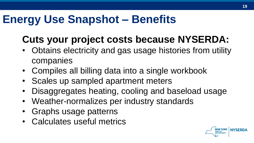#### **Energy Use Snapshot – Benefits**

#### **Cuts your project costs because NYSERDA:**

- Obtains electricity and gas usage histories from utility companies
- Compiles all billing data into a single workbook
- Scales up sampled apartment meters
- Disaggregates heating, cooling and baseload usage
- Weather-normalizes per industry standards
- Graphs usage patterns
- Calculates useful metrics

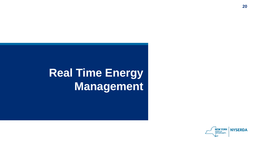## **Real Time Energy Management**

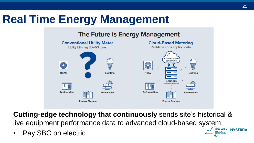### **Real Time Energy Management**

#### The Future is Energy Management



**Cutting-edge technology that continuously** sends site's historical & live equipment performance data to advanced cloud-based system. **NEW YORK NYSERDA** 

• Pay SBC on electric

**STATE OF OPPORTUNITY.**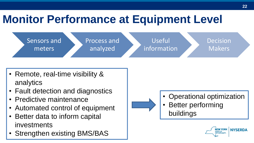### **Monitor Performance at Equipment Level**



- Remote, real-time visibility & analytics
- Fault detection and diagnostics
- Predictive maintenance
- Automated control of equipment
- Better data to inform capital investments
- Strengthen existing BMS/BAS

• Operational optimization **Better performing** buildings

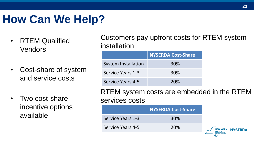### **How Can We Help?**

- RTEM Qualified Vendors
- Cost-share of system and service costs
- Two cost-share incentive options available

Customers pay upfront costs for RTEM system installation

|                            | <b>NYSERDA Cost-Share</b> |
|----------------------------|---------------------------|
| <b>System Installation</b> | 30%                       |
| Service Years 1-3          | 30%                       |
| Service Years 4-5          | 20%                       |

RTEM system costs are embedded in the RTEM services costs

|                   | NYSERDA Cost-Share |                  |
|-------------------|--------------------|------------------|
| Service Years 1-3 | 30%                |                  |
| Service Years 4-5 | 20%                | NEW YORK NYSERDA |
|                   |                    |                  |